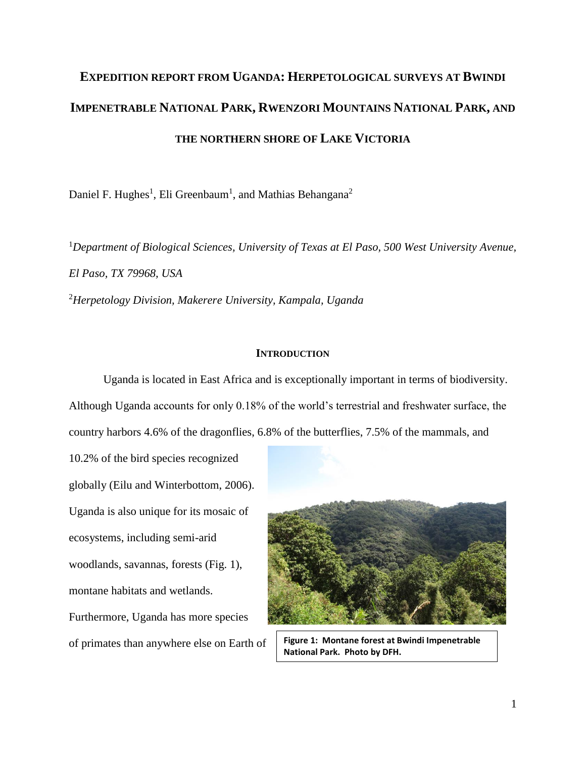# **EXPEDITION REPORT FROM UGANDA: HERPETOLOGICAL SURVEYS AT BWINDI IMPENETRABLE NATIONAL PARK, RWENZORI MOUNTAINS NATIONAL PARK, AND THE NORTHERN SHORE OF LAKE VICTORIA**

Daniel F. Hughes<sup>1</sup>, Eli Greenbaum<sup>1</sup>, and Mathias Behangana<sup>2</sup>

<sup>1</sup>*Department of Biological Sciences, University of Texas at El Paso, 500 West University Avenue, El Paso, TX 79968, USA* <sup>2</sup>*Herpetology Division, Makerere University, Kampala, Uganda*

## **INTRODUCTION**

Uganda is located in East Africa and is exceptionally important in terms of biodiversity. Although Uganda accounts for only 0.18% of the world's terrestrial and freshwater surface, the country harbors 4.6% of the dragonflies, 6.8% of the butterflies, 7.5% of the mammals, and

10.2% of the bird species recognized globally (Eilu and Winterbottom, 2006). Uganda is also unique for its mosaic of ecosystems, including semi-arid woodlands, savannas, forests (Fig. 1), montane habitats and wetlands. Furthermore, Uganda has more species



of primates than anywhere else on Earth of **Figure 1: Montane forest at Bwindi Impenetrable National Park. Photo by DFH.**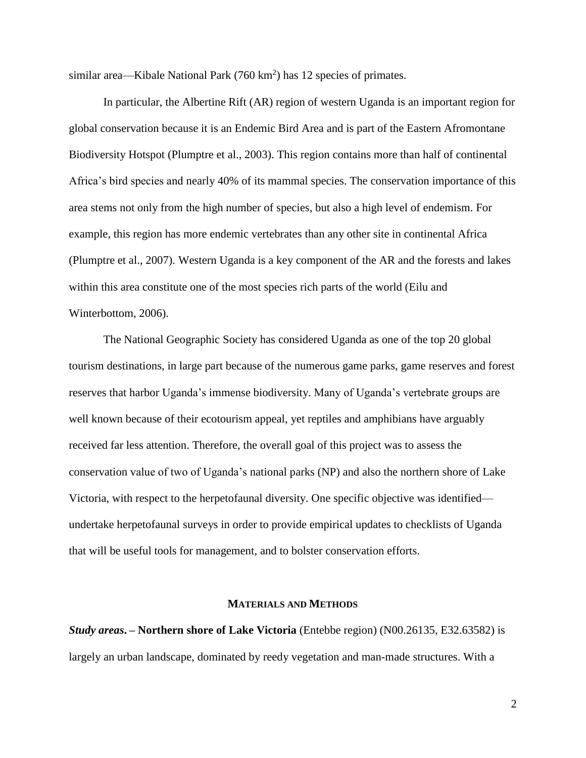similar area—Kibale National Park  $(760 \text{ km}^2)$  has 12 species of primates.

In particular, the Albertine Rift (AR) region of western Uganda is an important region for global conservation because it is an Endemic Bird Area and is part of the Eastern Afromontane Biodiversity Hotspot (Plumptre et al., 2003). This region contains more than half of continental Africa's bird species and nearly 40% of its mammal species. The conservation importance of this area stems not only from the high number of species, but also a high level of endemism. For example, this region has more endemic vertebrates than any other site in continental Africa (Plumptre et al., 2007). Western Uganda is a key component of the AR and the forests and lakes within this area constitute one of the most species rich parts of the world (Eilu and Winterbottom, 2006).

The National Geographic Society has considered Uganda as one of the top 20 global tourism destinations, in large part because of the numerous game parks, game reserves and forest reserves that harbor Uganda's immense biodiversity. Many of Uganda's vertebrate groups are well known because of their ecotourism appeal, yet reptiles and amphibians have arguably received far less attention. Therefore, the overall goal of this project was to assess the conservation value of two of Uganda's national parks (NP) and also the northern shore of Lake Victoria, with respect to the herpetofaunal diversity. One specific objective was identified undertake herpetofaunal surveys in order to provide empirical updates to checklists of Uganda that will be useful tools for management, and to bolster conservation efforts.

#### **MATERIALS AND METHODS**

*Study areas***. – Northern shore of Lake Victoria** (Entebbe region) (N00.26135, E32.63582) is largely an urban landscape, dominated by reedy vegetation and man-made structures. With a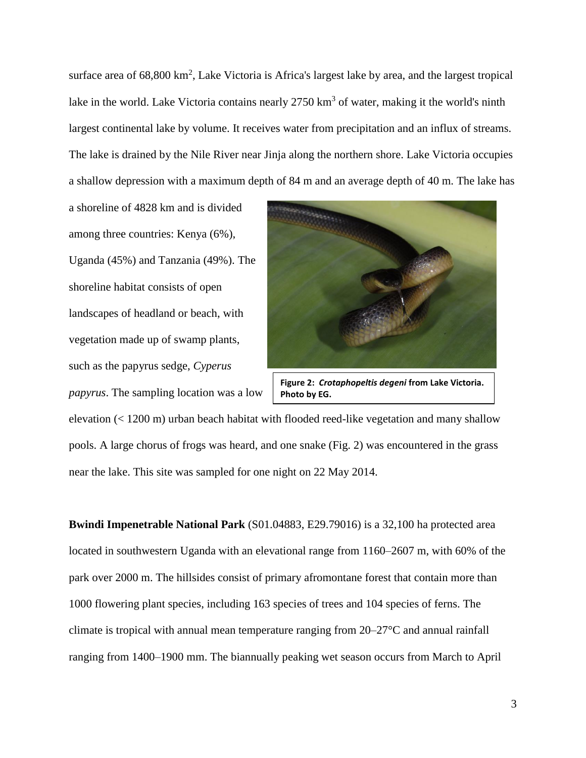surface area of 68,800 km<sup>2</sup>, Lake Victoria is Africa's largest lake by area, and the largest tropical lake in the world. Lake Victoria contains nearly  $2750 \text{ km}^3$  of water, making it the world's ninth largest continental lake by volume. It receives water from precipitation and an influx of streams. The lake is drained by the Nile River near Jinja along the northern shore. Lake Victoria occupies a shallow depression with a maximum depth of 84 m and an average depth of 40 m. The lake has

a shoreline of 4828 km and is divided among three countries: Kenya (6%), Uganda (45%) and Tanzania (49%). The shoreline habitat consists of open landscapes of headland or beach, with vegetation made up of swamp plants, such as the papyrus sedge, *Cyperus papyrus*. The sampling location was a low



**Figure 2:** *Crotaphopeltis degeni* **from Lake Victoria. Photo by EG.**

elevation (< 1200 m) urban beach habitat with flooded reed-like vegetation and many shallow pools. A large chorus of frogs was heard, and one snake (Fig. 2) was encountered in the grass near the lake. This site was sampled for one night on 22 May 2014.

**Bwindi Impenetrable National Park** (S01.04883, E29.79016) is a 32,100 ha protected area located in southwestern Uganda with an elevational range from 1160–2607 m, with 60% of the park over 2000 m. The hillsides consist of primary afromontane forest that contain more than 1000 flowering plant species, including 163 species of trees and 104 species of ferns. The climate is tropical with annual mean temperature ranging from 20–27°C and annual rainfall ranging from 1400–1900 mm. The biannually peaking wet season occurs from March to April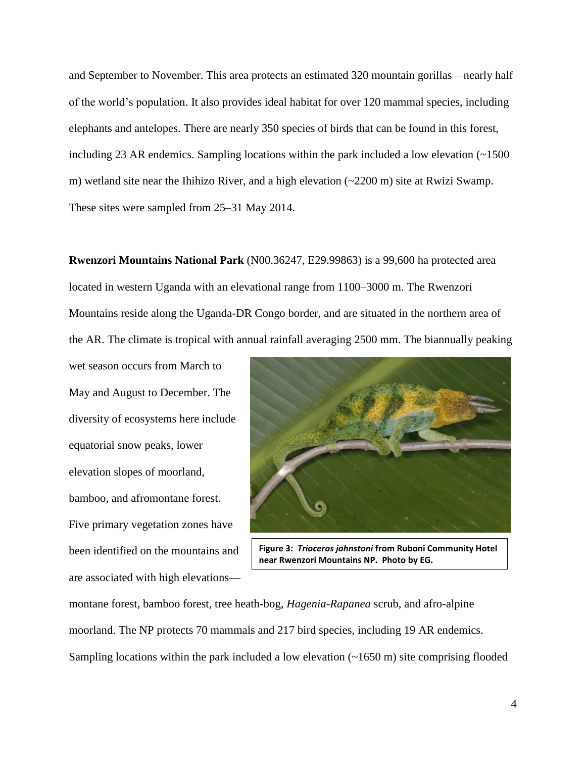and September to November. This area protects an estimated 320 mountain gorillas—nearly half of the world's population. It also provides ideal habitat for over 120 mammal species, including elephants and antelopes. There are nearly 350 species of birds that can be found in this forest, including 23 AR endemics. Sampling locations within the park included a low elevation  $\sim 1500$ m) wetland site near the Ihihizo River, and a high elevation (~2200 m) site at Rwizi Swamp. These sites were sampled from 25–31 May 2014.

**Rwenzori Mountains National Park** (N00.36247, E29.99863) is a 99,600 ha protected area located in western Uganda with an elevational range from 1100–3000 m. The Rwenzori Mountains reside along the Uganda-DR Congo border, and are situated in the northern area of the AR. The climate is tropical with annual rainfall averaging 2500 mm. The biannually peaking

wet season occurs from March to May and August to December. The diversity of ecosystems here include equatorial snow peaks, lower elevation slopes of moorland, bamboo, and afromontane forest. Five primary vegetation zones have been identified on the mountains and are associated with high elevations—



**Figure 3:** *Trioceros johnstoni* **from Ruboni Community Hotel near Rwenzori Mountains NP. Photo by EG.**

montane forest, bamboo forest, tree heath-bog, *Hagenia-Rapanea* scrub, and afro-alpine moorland. The NP protects 70 mammals and 217 bird species, including 19 AR endemics. Sampling locations within the park included a low elevation  $(\sim 1650 \text{ m})$  site comprising flooded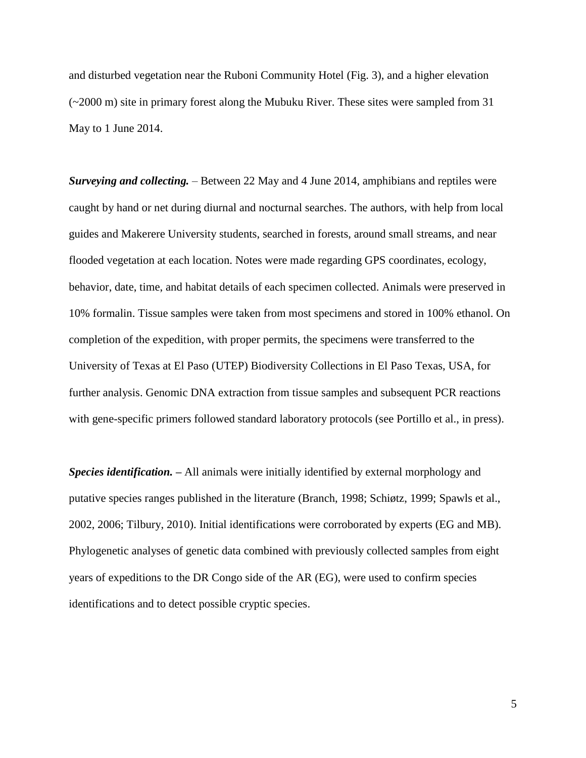and disturbed vegetation near the Ruboni Community Hotel (Fig. 3), and a higher elevation (~2000 m) site in primary forest along the Mubuku River. These sites were sampled from 31 May to 1 June 2014.

*Surveying and collecting.* – Between 22 May and 4 June 2014, amphibians and reptiles were caught by hand or net during diurnal and nocturnal searches. The authors, with help from local guides and Makerere University students, searched in forests, around small streams, and near flooded vegetation at each location. Notes were made regarding GPS coordinates, ecology, behavior, date, time, and habitat details of each specimen collected. Animals were preserved in 10% formalin. Tissue samples were taken from most specimens and stored in 100% ethanol. On completion of the expedition, with proper permits, the specimens were transferred to the University of Texas at El Paso (UTEP) Biodiversity Collections in El Paso Texas, USA, for further analysis. Genomic DNA extraction from tissue samples and subsequent PCR reactions with gene-specific primers followed standard laboratory protocols (see Portillo et al., in press).

*Species identification. –* All animals were initially identified by external morphology and putative species ranges published in the literature (Branch, 1998; Schiøtz, 1999; Spawls et al., 2002, 2006; Tilbury, 2010). Initial identifications were corroborated by experts (EG and MB). Phylogenetic analyses of genetic data combined with previously collected samples from eight years of expeditions to the DR Congo side of the AR (EG), were used to confirm species identifications and to detect possible cryptic species.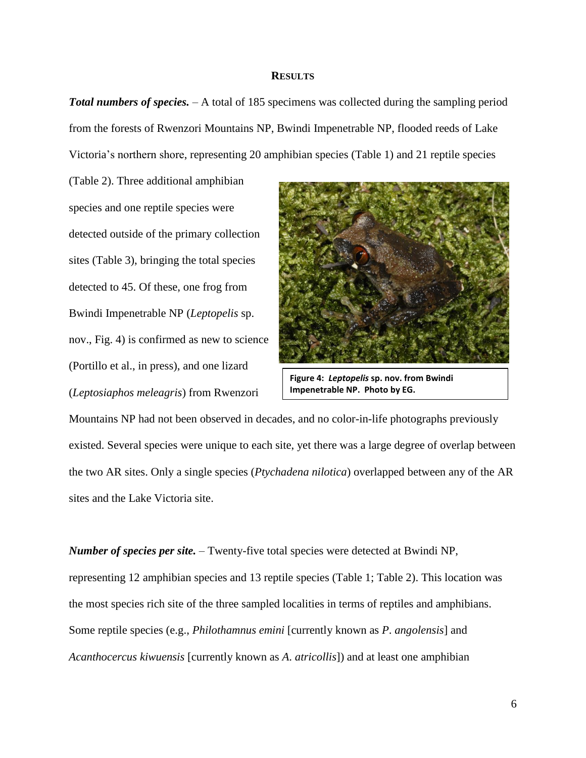## **RESULTS**

*Total numbers of species.* – A total of 185 specimens was collected during the sampling period from the forests of Rwenzori Mountains NP, Bwindi Impenetrable NP, flooded reeds of Lake Victoria's northern shore, representing 20 amphibian species (Table 1) and 21 reptile species

(Table 2). Three additional amphibian species and one reptile species were detected outside of the primary collection sites (Table 3), bringing the total species detected to 45. Of these, one frog from Bwindi Impenetrable NP (*Leptopelis* sp. nov., Fig. 4) is confirmed as new to science (Portillo et al., in press), and one lizard (*Leptosiaphos meleagris*) from Rwenzori



**Figure 4:** *Leptopelis* **sp. nov. from Bwindi Impenetrable NP. Photo by EG.**

Mountains NP had not been observed in decades, and no color-in-life photographs previously existed. Several species were unique to each site, yet there was a large degree of overlap between the two AR sites. Only a single species (*Ptychadena nilotica*) overlapped between any of the AR sites and the Lake Victoria site.

*Number of species per site.* – Twenty-five total species were detected at Bwindi NP, representing 12 amphibian species and 13 reptile species (Table 1; Table 2). This location was the most species rich site of the three sampled localities in terms of reptiles and amphibians. Some reptile species (e.g., *Philothamnus emini* [currently known as *P*. *angolensis*] and *Acanthocercus kiwuensis* [currently known as *A*. *atricollis*]) and at least one amphibian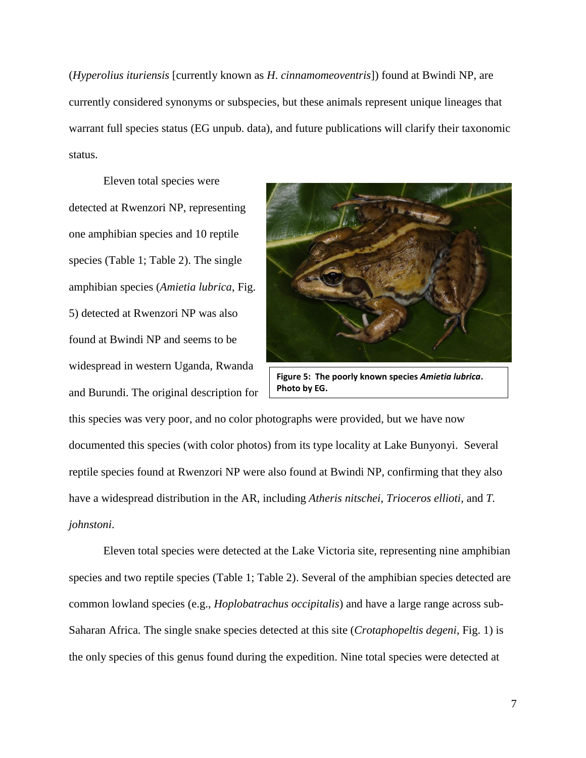(*Hyperolius ituriensis* [currently known as *H*. *cinnamomeoventris*]) found at Bwindi NP, are currently considered synonyms or subspecies, but these animals represent unique lineages that warrant full species status (EG unpub. data), and future publications will clarify their taxonomic status.

Eleven total species were detected at Rwenzori NP, representing one amphibian species and 10 reptile species (Table 1; Table 2). The single amphibian species (*Amietia lubrica*, Fig. 5) detected at Rwenzori NP was also found at Bwindi NP and seems to be widespread in western Uganda, Rwanda and Burundi. The original description for



**Figure 5: The poorly known species** *Amietia lubrica***. Photo by EG.**

this species was very poor, and no color photographs were provided, but we have now documented this species (with color photos) from its type locality at Lake Bunyonyi. Several reptile species found at Rwenzori NP were also found at Bwindi NP, confirming that they also have a widespread distribution in the AR, including *Atheris nitschei*, *Trioceros ellioti*, and *T. johnstoni*.

Eleven total species were detected at the Lake Victoria site, representing nine amphibian species and two reptile species (Table 1; Table 2). Several of the amphibian species detected are common lowland species (e.g., *Hoplobatrachus occipitalis*) and have a large range across sub-Saharan Africa. The single snake species detected at this site (*Crotaphopeltis degeni*, Fig. 1) is the only species of this genus found during the expedition. Nine total species were detected at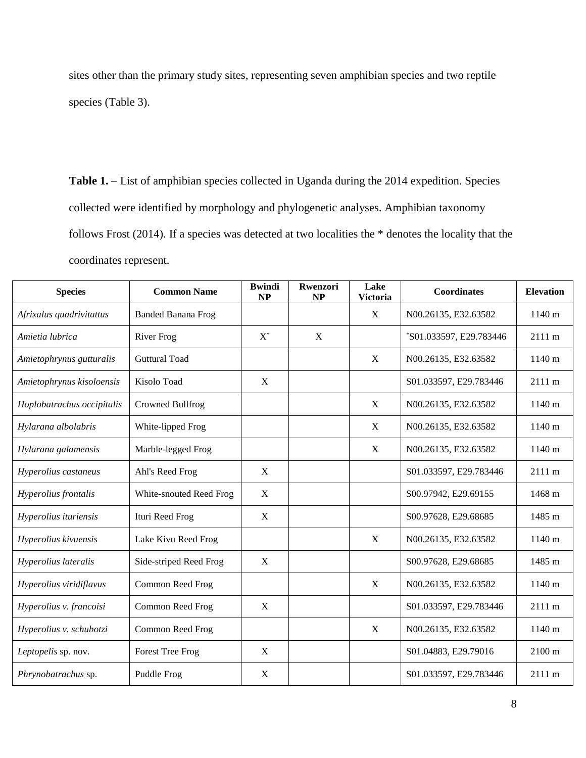sites other than the primary study sites, representing seven amphibian species and two reptile species (Table 3).

Table 1. – List of amphibian species collected in Uganda during the 2014 expedition. Species collected were identified by morphology and phylogenetic analyses. Amphibian taxonomy follows Frost (2014). If a species was detected at two localities the \* denotes the locality that the coordinates represent.

| <b>Species</b>             | <b>Common Name</b>        | <b>Bwindi</b><br><b>NP</b> | Rwenzori<br>NP | Lake<br><b>Victoria</b> | <b>Coordinates</b>      | <b>Elevation</b> |
|----------------------------|---------------------------|----------------------------|----------------|-------------------------|-------------------------|------------------|
| Afrixalus quadrivitattus   | <b>Banded Banana Frog</b> |                            |                | X                       | N00.26135, E32.63582    | 1140 m           |
| Amietia lubrica            | <b>River Frog</b>         | $X^*$                      | X              |                         | *S01.033597, E29.783446 | 2111 m           |
| Amietophrynus gutturalis   | <b>Guttural Toad</b>      |                            |                | X                       | N00.26135, E32.63582    | 1140 m           |
| Amietophrynus kisoloensis  | Kisolo Toad               | X                          |                |                         | S01.033597, E29.783446  | 2111 m           |
| Hoplobatrachus occipitalis | Crowned Bullfrog          |                            |                | X                       | N00.26135, E32.63582    | 1140 m           |
| Hylarana albolabris        | White-lipped Frog         |                            |                | X                       | N00.26135, E32.63582    | 1140 m           |
| Hylarana galamensis        | Marble-legged Frog        |                            |                | X                       | N00.26135, E32.63582    | 1140 m           |
| Hyperolius castaneus       | Ahl's Reed Frog           | X                          |                |                         | S01.033597, E29.783446  | 2111 m           |
| Hyperolius frontalis       | White-snouted Reed Frog   | X                          |                |                         | S00.97942, E29.69155    | 1468 m           |
| Hyperolius ituriensis      | Ituri Reed Frog           | X                          |                |                         | S00.97628, E29.68685    | 1485 m           |
| Hyperolius kivuensis       | Lake Kivu Reed Frog       |                            |                | X                       | N00.26135, E32.63582    | 1140 m           |
| Hyperolius lateralis       | Side-striped Reed Frog    | X                          |                |                         | S00.97628, E29.68685    | 1485 m           |
| Hyperolius viridiflavus    | Common Reed Frog          |                            |                | $\mathbf{X}$            | N00.26135, E32.63582    | 1140 m           |
| Hyperolius v. francoisi    | Common Reed Frog          | X                          |                |                         | S01.033597, E29.783446  | 2111 m           |
| Hyperolius v. schubotzi    | Common Reed Frog          |                            |                | $\mathbf X$             | N00.26135, E32.63582    | 1140 m           |
| Leptopelis sp. nov.        | <b>Forest Tree Frog</b>   | X                          |                |                         | S01.04883, E29.79016    | $2100 \text{ m}$ |
| Phrynobatrachus sp.        | Puddle Frog               | X                          |                |                         | S01.033597, E29.783446  | 2111 m           |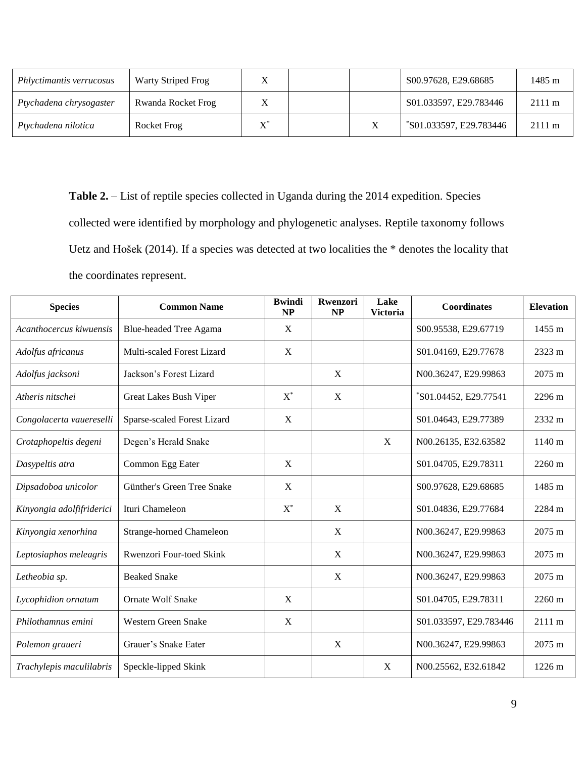| Phlyctimantis verrucosus | Warty Striped Frog |                |   | S00.97628, E29.68685    | 1485 m           |
|--------------------------|--------------------|----------------|---|-------------------------|------------------|
| Ptychadena chrysogaster  | Rwanda Rocket Frog |                |   | S01.033597, E29.783446  | $2111 \text{ m}$ |
| Ptychadena nilotica      | Rocket Frog        | $\mathbf{V}^*$ | X | *S01.033597, E29.783446 | $2111 \text{ m}$ |

Table 2. – List of reptile species collected in Uganda during the 2014 expedition. Species collected were identified by morphology and phylogenetic analyses. Reptile taxonomy follows Uetz and Hošek (2014). If a species was detected at two localities the \* denotes the locality that the coordinates represent.

| <b>Species</b>            | <b>Common Name</b>              | <b>Bwindi</b><br><b>NP</b> | Rwenzori<br><b>NP</b> | Lake<br><b>Victoria</b> | <b>Coordinates</b>     | <b>Elevation</b> |
|---------------------------|---------------------------------|----------------------------|-----------------------|-------------------------|------------------------|------------------|
| Acanthocercus kiwuensis   | <b>Blue-headed Tree Agama</b>   | X                          |                       |                         | S00.95538, E29.67719   | $1455 \text{ m}$ |
| Adolfus africanus         | Multi-scaled Forest Lizard      | $\mathbf{X}$               |                       |                         | S01.04169, E29.77678   | $2323 \text{ m}$ |
| Adolfus jacksoni          | Jackson's Forest Lizard         |                            | X                     |                         | N00.36247, E29.99863   | 2075 m           |
| Atheris nitschei          | Great Lakes Bush Viper          | $X^*$                      | X                     |                         | *S01.04452, E29.77541  | 2296 m           |
| Congolacerta vauereselli  | Sparse-scaled Forest Lizard     | X                          |                       |                         | S01.04643, E29.77389   | 2332 m           |
| Crotaphopeltis degeni     | Degen's Herald Snake            |                            |                       | X                       | N00.26135, E32.63582   | 1140 m           |
| Dasypeltis atra           | Common Egg Eater                | $\mathbf{X}$               |                       |                         | S01.04705, E29.78311   | $2260 \text{ m}$ |
| Dipsadoboa unicolor       | Günther's Green Tree Snake      | X                          |                       |                         | S00.97628, E29.68685   | 1485 m           |
| Kinyongia adolfifriderici | Ituri Chameleon                 | $X^*$                      | X                     |                         | S01.04836, E29.77684   | 2284 m           |
| Kinyongia xenorhina       | <b>Strange-horned Chameleon</b> |                            | X                     |                         | N00.36247, E29.99863   | 2075 m           |
| Leptosiaphos meleagris    | Rwenzori Four-toed Skink        |                            | X                     |                         | N00.36247, E29.99863   | $2075 \text{ m}$ |
| Letheobia sp.             | <b>Beaked Snake</b>             |                            | X                     |                         | N00.36247, E29.99863   | $2075 \text{ m}$ |
| Lycophidion ornatum       | <b>Ornate Wolf Snake</b>        | X                          |                       |                         | S01.04705, E29.78311   | 2260 m           |
| Philothamnus emini        | Western Green Snake             | X                          |                       |                         | S01.033597, E29.783446 | 2111 m           |
| Polemon graueri           | Grauer's Snake Eater            |                            | X                     |                         | N00.36247, E29.99863   | $2075 \text{ m}$ |
| Trachylepis maculilabris  | Speckle-lipped Skink            |                            |                       | X                       | N00.25562, E32.61842   | $1226 \text{ m}$ |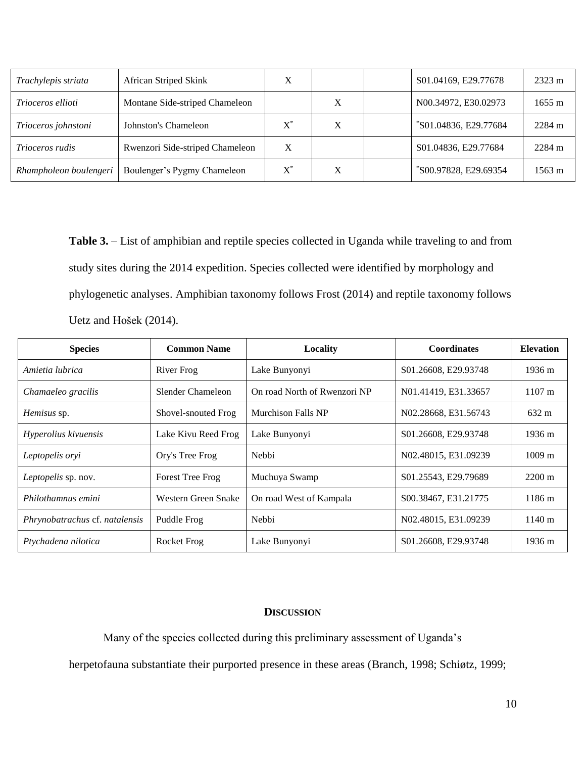| Trachylepis striata      | African Striped Skink           |             |   | S01.04169, E29.77678  | $2323 \text{ m}$ |
|--------------------------|---------------------------------|-------------|---|-----------------------|------------------|
| <i>Trioceros ellioti</i> | Montane Side-striped Chameleon  |             | X | N00.34972, E30.02973  | $1655 \text{ m}$ |
| Trioceros johnstoni      | Johnston's Chameleon            | $X^{\circ}$ | X | *S01.04836, E29.77684 | 2284 m           |
| <i>Trioceros rudis</i>   | Rwenzori Side-striped Chameleon |             |   | S01.04836, E29.77684  | 2284 m           |
| Rhampholeon boulengeri   | Boulenger's Pygmy Chameleon     | X           | X | *S00.97828, E29.69354 | 1563 m           |

Table 3. – List of amphibian and reptile species collected in Uganda while traveling to and from study sites during the 2014 expedition. Species collected were identified by morphology and phylogenetic analyses. Amphibian taxonomy follows Frost (2014) and reptile taxonomy follows Uetz and Hošek (2014).

| <b>Species</b>                 | <b>Common Name</b>      | Locality                     | <b>Coordinates</b>   | <b>Elevation</b>     |
|--------------------------------|-------------------------|------------------------------|----------------------|----------------------|
| Amietia lubrica                | River Frog              | Lake Bunyonyi                | S01.26608, E29.93748 | $1936 \text{ m}$     |
| Chamaeleo gracilis             | Slender Chameleon       | On road North of Rwenzori NP | N01.41419, E31.33657 | $1107 \text{ m}$     |
| <i>Hemisus</i> sp.             | Shovel-snouted Frog     | <b>Murchison Falls NP</b>    | N02.28668, E31.56743 | $632 \text{ m}$      |
| Hyperolius kivuensis           | Lake Kivu Reed Frog     | Lake Bunyonyi                | S01.26608, E29.93748 | $1936 \text{ m}$     |
| Leptopelis oryi                | Ory's Tree Frog         | Nebbi                        | N02.48015, E31.09239 | $1009 \; \mathrm{m}$ |
| Leptopelis sp. nov.            | <b>Forest Tree Frog</b> | Muchuya Swamp                | S01.25543, E29.79689 | $2200 \text{ m}$     |
| Philothamnus emini             | Western Green Snake     | On road West of Kampala      | S00.38467, E31.21775 | $1186 \text{ m}$     |
| Phrynobatrachus cf. natalensis | Puddle Frog             | Nebbi                        | N02.48015, E31.09239 | $1140 \text{ m}$     |
| Ptychadena nilotica            | <b>Rocket Frog</b>      | Lake Bunyonyi                | S01.26608, E29.93748 | $1936 \text{ m}$     |

## **DISCUSSION**

Many of the species collected during this preliminary assessment of Uganda's

herpetofauna substantiate their purported presence in these areas (Branch, 1998; Schiøtz, 1999;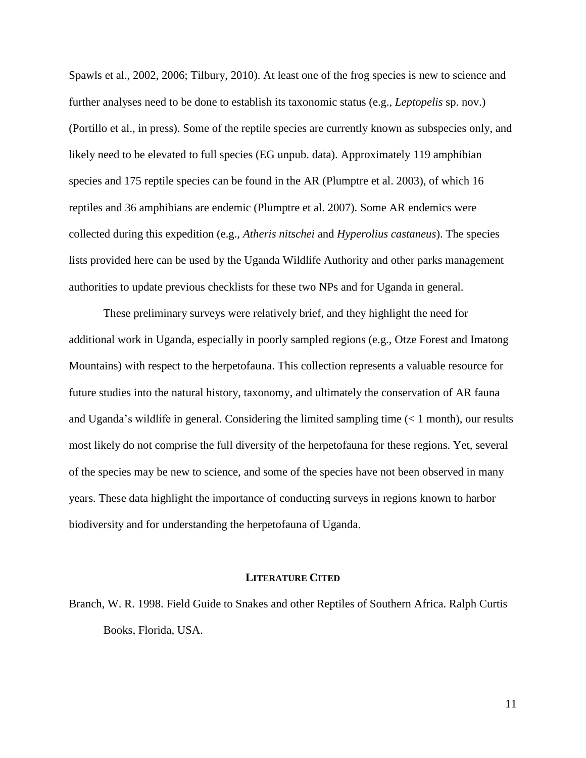Spawls et al., 2002, 2006; Tilbury, 2010). At least one of the frog species is new to science and further analyses need to be done to establish its taxonomic status (e.g., *Leptopelis* sp. nov.) (Portillo et al., in press). Some of the reptile species are currently known as subspecies only, and likely need to be elevated to full species (EG unpub. data). Approximately 119 amphibian species and 175 reptile species can be found in the AR (Plumptre et al. 2003), of which 16 reptiles and 36 amphibians are endemic (Plumptre et al. 2007). Some AR endemics were collected during this expedition (e.g., *Atheris nitschei* and *Hyperolius castaneus*). The species lists provided here can be used by the Uganda Wildlife Authority and other parks management authorities to update previous checklists for these two NPs and for Uganda in general.

These preliminary surveys were relatively brief, and they highlight the need for additional work in Uganda, especially in poorly sampled regions (e.g., Otze Forest and Imatong Mountains) with respect to the herpetofauna. This collection represents a valuable resource for future studies into the natural history, taxonomy, and ultimately the conservation of AR fauna and Uganda's wildlife in general. Considering the limited sampling time  $(< 1$  month), our results most likely do not comprise the full diversity of the herpetofauna for these regions. Yet, several of the species may be new to science, and some of the species have not been observed in many years. These data highlight the importance of conducting surveys in regions known to harbor biodiversity and for understanding the herpetofauna of Uganda.

#### **LITERATURE CITED**

Branch, W. R. 1998. Field Guide to Snakes and other Reptiles of Southern Africa. Ralph Curtis Books, Florida, USA.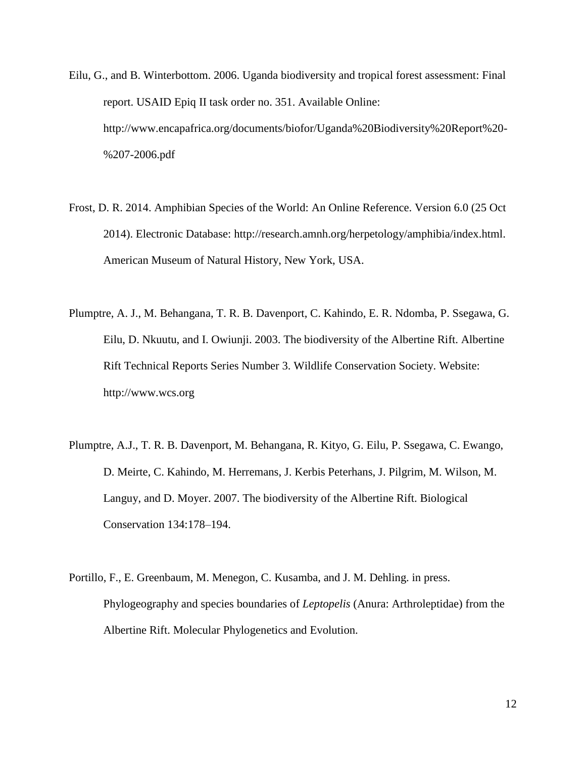- Eilu, G., and B. Winterbottom. 2006. Uganda biodiversity and tropical forest assessment: Final report. USAID Epiq II task order no. 351. Available Online: http://www.encapafrica.org/documents/biofor/Uganda%20Biodiversity%20Report%20- %207-2006.pdf
- Frost, D. R. 2014. Amphibian Species of the World: An Online Reference. Version 6.0 (25 Oct 2014). Electronic Database: http://research.amnh.org/herpetology/amphibia/index.html. American Museum of Natural History, New York, USA.
- Plumptre, A. J., M. Behangana, T. R. B. Davenport, C. Kahindo, E. R. Ndomba, P. Ssegawa, G. Eilu, D. Nkuutu, and I. Owiunji. 2003. The biodiversity of the Albertine Rift. Albertine Rift Technical Reports Series Number 3. Wildlife Conservation Society. Website: http://www.wcs.org
- Plumptre, A.J., T. R. B. Davenport, M. Behangana, R. Kityo, G. Eilu, P. Ssegawa, C. Ewango, D. Meirte, C. Kahindo, M. Herremans, J. Kerbis Peterhans, J. Pilgrim, M. Wilson, M. Languy, and D. Moyer. 2007. The biodiversity of the Albertine Rift. Biological Conservation 134:178–194.
- Portillo, F., E. Greenbaum, M. Menegon, C. Kusamba, and J. M. Dehling. in press. Phylogeography and species boundaries of *Leptopelis* (Anura: Arthroleptidae) from the Albertine Rift. Molecular Phylogenetics and Evolution.